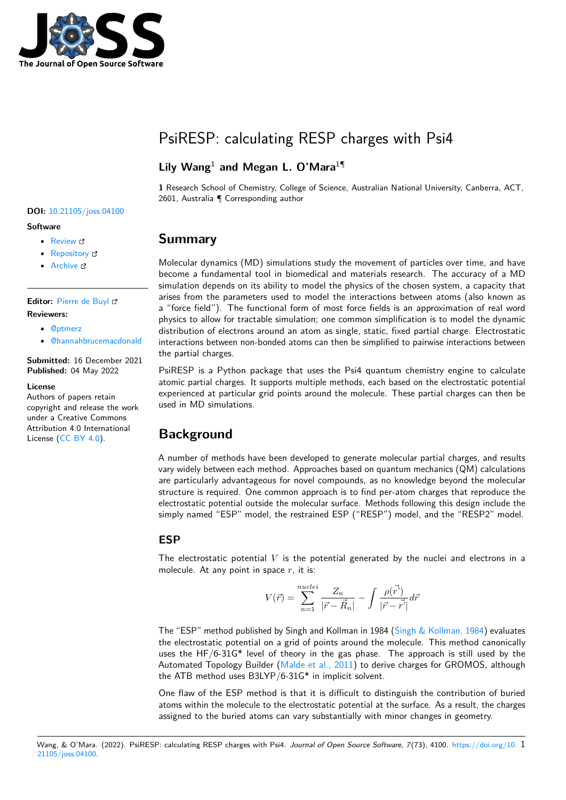

# PsiRESP: calculating RESP charges with Psi4

## **Lily Wang**<sup>1</sup> **and Megan L. O'Mara**<sup>1</sup>¶

**1** Research School of Chemistry, College of Science, Australian National University, Canberra, ACT, 2601, Australia ¶ Corresponding author

#### **DOI:** [10.21105/joss.04100](https://doi.org/10.21105/joss.04100)

#### **Software**

- [Review](https://github.com/openjournals/joss-reviews/issues/4100) ぴ
- [Repository](https://github.com/lilyminium/psiresp) C
- [Archive](https://doi.org/10.5281/zenodo.6501898)

**Editor:** [Pierre de Buyl](http://pdebuyl.be/) **Reviewers:**

- [@ptmerz](https://github.com/ptmerz)
- [@hannahbrucemacdonald](https://github.com/hannahbrucemacdonald)

**Submitted:** 16 December 2021 **Published:** 04 May 2022

#### **License**

Authors of papers retain copyright and release the work under a Creative Commons Attribution 4.0 International License [\(CC BY 4.0\)](https://creativecommons.org/licenses/by/4.0/).

## **Summary**

Molecular dynamics (MD) simulations study the movement of particles over time, and have become a fundamental tool in biomedical and materials research. The accuracy of a MD simulation depends on its ability to model the physics of the chosen system, a capacity that arises from the parameters used to model the interactions between atoms (also known as a "force field"). The functional form of most force fields is an approximation of real word physics to allow for tractable simulation; one common simplification is to model the dynamic distribution of electrons around an atom as single, static, fixed partial charge. Electrostatic interactions between non-bonded atoms can then be simplified to pairwise interactions between the partial charges.

PsiRESP is a Python package that uses the Psi4 quantum chemistry engine to calculate atomic partial charges. It supports multiple methods, each based on the electrostatic potential experienced at particular grid points around the molecule. These partial charges can then be used in MD simulations.

# **Background**

A number of methods have been developed to generate molecular partial charges, and results vary widely between each method. Approaches based on quantum mechanics (QM) calculations are particularly advantageous for novel compounds, as no knowledge beyond the molecular structure is required. One common approach is to find per-atom charges that reproduce the electrostatic potential outside the molecular surface. Methods following this design include the simply named "ESP" model, the restrained ESP ("RESP") model, and the "RESP2" model.

### **ESP**

The electrostatic potential  $V$  is the potential generated by the nuclei and electrons in a molecule. At any point in space  $r$ , it is:

$$
V(\vec{r}) = \sum_{n=1}^{nuclei} \frac{Z_n}{|\vec{r} - \vec{R}_n|} - \int \frac{\rho(\vec{r})}{|\vec{r} - \vec{r}|} d\vec{r}
$$

The "ESP" method published by Singh and Kollman in 1984 [\(Singh & Kollman, 1984\)](#page-5-0) evaluates the electrostatic potential on a grid of points around the molecule. This method canonically uses the HF/6-31G\* level of theory in the gas phase. The approach is still used by the Automated Topology Builder [\(Malde et al., 2011\)](#page-4-0) to derive charges for GROMOS, although the ATB method uses B3LYP/6-31G\* in implicit solvent.

One flaw of the ESP method is that it is difficult to distinguish the contribution of buried atoms within the molecule to the electrostatic potential at the surface. As a result, the charges assigned to the buried atoms can vary substantially with minor changes in geometry.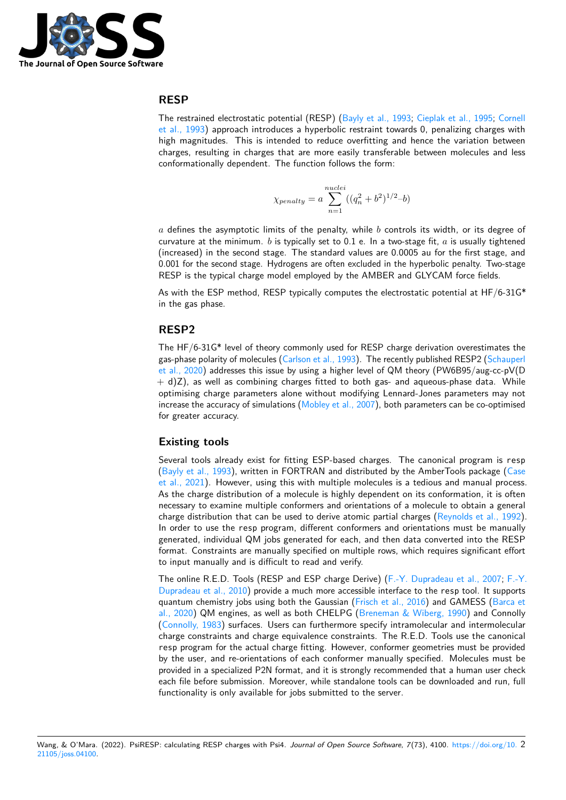

### **RESP**

The restrained electrostatic potential (RESP) [\(Bayly et al., 1993;](#page-3-0) [Cieplak et al., 1995;](#page-4-1) [Cornell](#page-4-2) [et al., 1993\)](#page-4-2) approach introduces a hyperbolic restraint towards 0, penalizing charges with high magnitudes. This is intended to reduce overfitting and hence the variation between charges, resulting in charges that are more easily transferable between molecules and less conformationally dependent. The function follows the form:

$$
\chi_{penalty} = a \sum_{n=1}^{nuclei} ((q_n^2 + b^2)^{1/2} - b)
$$

 $a$  defines the asymptotic limits of the penalty, while  $b$  controls its width, or its degree of curvature at the minimum. b is typically set to 0.1 e. In a two-stage fit,  $a$  is usually tightened (increased) in the second stage. The standard values are 0.0005 au for the first stage, and 0.001 for the second stage. Hydrogens are often excluded in the hyperbolic penalty. Two-stage RESP is the typical charge model employed by the AMBER and GLYCAM force fields.

As with the ESP method, RESP typically computes the electrostatic potential at  $HF/6-31G^*$ in the gas phase.

#### **RESP2**

The HF/6-31G\* level of theory commonly used for RESP charge derivation overestimates the gas-phase polarity of molecules [\(Carlson et al., 1993\)](#page-4-3). The recently published RESP2 [\(Schauperl](#page-5-1) [et al., 2020\)](#page-5-1) addresses this issue by using a higher level of QM theory (PW6B95/aug-cc-pV(D  $+$  d)Z), as well as combining charges fitted to both gas- and aqueous-phase data. While optimising charge parameters alone without modifying Lennard-Jones parameters may not increase the accuracy of simulations [\(Mobley et al., 2007\)](#page-4-4), both parameters can be co-optimised for greater accuracy.

#### **Existing tools**

Several tools already exist for fitting ESP-based charges. The canonical program is resp [\(Bayly et al., 1993\)](#page-3-0), written in FORTRAN and distributed by the AmberTools package [\(Case](#page-4-5) [et al., 2021\)](#page-4-5). However, using this with multiple molecules is a tedious and manual process. As the charge distribution of a molecule is highly dependent on its conformation, it is often necessary to examine multiple conformers and orientations of a molecule to obtain a general charge distribution that can be used to derive atomic partial charges [\(Reynolds et al., 1992\)](#page-5-2). In order to use the resp program, different conformers and orientations must be manually generated, individual QM jobs generated for each, and then data converted into the RESP format. Constraints are manually specified on multiple rows, which requires significant effort to input manually and is difficult to read and verify.

The online R.E.D. Tools (RESP and ESP charge Derive) [\(F.-Y. Dupradeau et al., 2007;](#page-4-6) [F.-Y.](#page-4-7) [Dupradeau et al., 2010\)](#page-4-7) provide a much more accessible interface to the resp tool. It supports quantum chemistry jobs using both the Gaussian [\(Frisch et al., 2016\)](#page-4-8) and GAMESS [\(Barca et](#page-3-1) [al., 2020\)](#page-3-1) QM engines, as well as both CHELPG [\(Breneman & Wiberg, 1990\)](#page-3-2) and Connolly [\(Connolly, 1983\)](#page-4-9) surfaces. Users can furthermore specify intramolecular and intermolecular charge constraints and charge equivalence constraints. The R.E.D. Tools use the canonical resp program for the actual charge fitting. However, conformer geometries must be provided by the user, and re-orientations of each conformer manually specified. Molecules must be provided in a specialized P2N format, and it is strongly recommended that a human user check each file before submission. Moreover, while standalone tools can be downloaded and run, full functionality is only available for jobs submitted to the server.

Wang, & O'Mara. (2022). PsiRESP: calculating RESP charges with Psi4. Journal of Open Source Software, 7(73), 4100. [https://doi.org/10.](https://doi.org/10.21105/joss.04100) 2 [21105/joss.04100.](https://doi.org/10.21105/joss.04100)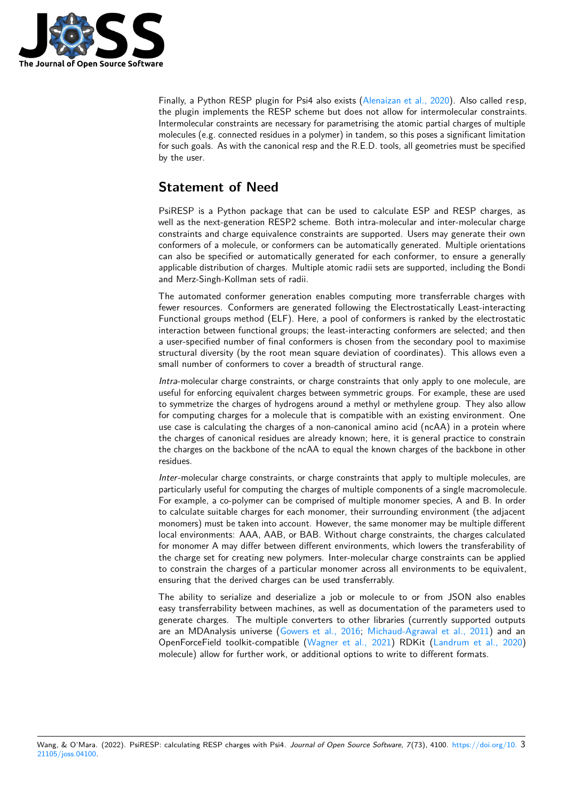

Finally, a Python RESP plugin for Psi4 also exists [\(Alenaizan et al., 2020\)](#page-3-3). Also called resp, the plugin implements the RESP scheme but does not allow for intermolecular constraints. Intermolecular constraints are necessary for parametrising the atomic partial charges of multiple molecules (e.g. connected residues in a polymer) in tandem, so this poses a significant limitation for such goals. As with the canonical resp and the R.E.D. tools, all geometries must be specified by the user.

# **Statement of Need**

PsiRESP is a Python package that can be used to calculate ESP and RESP charges, as well as the next-generation RESP2 scheme. Both intra-molecular and inter-molecular charge constraints and charge equivalence constraints are supported. Users may generate their own conformers of a molecule, or conformers can be automatically generated. Multiple orientations can also be specified or automatically generated for each conformer, to ensure a generally applicable distribution of charges. Multiple atomic radii sets are supported, including the Bondi and Merz-Singh-Kollman sets of radii.

The automated conformer generation enables computing more transferrable charges with fewer resources. Conformers are generated following the Electrostatically Least-interacting Functional groups method (ELF). Here, a pool of conformers is ranked by the electrostatic interaction between functional groups; the least-interacting conformers are selected; and then a user-specified number of final conformers is chosen from the secondary pool to maximise structural diversity (by the root mean square deviation of coordinates). This allows even a small number of conformers to cover a breadth of structural range.

Intra-molecular charge constraints, or charge constraints that only apply to one molecule, are useful for enforcing equivalent charges between symmetric groups. For example, these are used to symmetrize the charges of hydrogens around a methyl or methylene group. They also allow for computing charges for a molecule that is compatible with an existing environment. One use case is calculating the charges of a non-canonical amino acid (ncAA) in a protein where the charges of canonical residues are already known; here, it is general practice to constrain the charges on the backbone of the ncAA to equal the known charges of the backbone in other residues.

Inter-molecular charge constraints, or charge constraints that apply to multiple molecules, are particularly useful for computing the charges of multiple components of a single macromolecule. For example, a co-polymer can be comprised of multiple monomer species, A and B. In order to calculate suitable charges for each monomer, their surrounding environment (the adjacent monomers) must be taken into account. However, the same monomer may be multiple different local environments: AAA, AAB, or BAB. Without charge constraints, the charges calculated for monomer A may differ between different environments, which lowers the transferability of the charge set for creating new polymers. Inter-molecular charge constraints can be applied to constrain the charges of a particular monomer across all environments to be equivalent, ensuring that the derived charges can be used transferrably.

The ability to serialize and deserialize a job or molecule to or from JSON also enables easy transferrability between machines, as well as documentation of the parameters used to generate charges. The multiple converters to other libraries (currently supported outputs are an MDAnalysis universe [\(Gowers et al., 2016;](#page-4-10) [Michaud-Agrawal et al., 2011\)](#page-4-11) and an OpenForceField toolkit-compatible [\(Wagner et al., 2021\)](#page-5-3) RDKit [\(Landrum et al., 2020\)](#page-4-12) molecule) allow for further work, or additional options to write to different formats.

Wang, & O'Mara. (2022). PsiRESP: calculating RESP charges with Psi4. Journal of Open Source Software, 7(73), 4100. [https://doi.org/10.](https://doi.org/10.21105/joss.04100) 3 [21105/joss.04100.](https://doi.org/10.21105/joss.04100)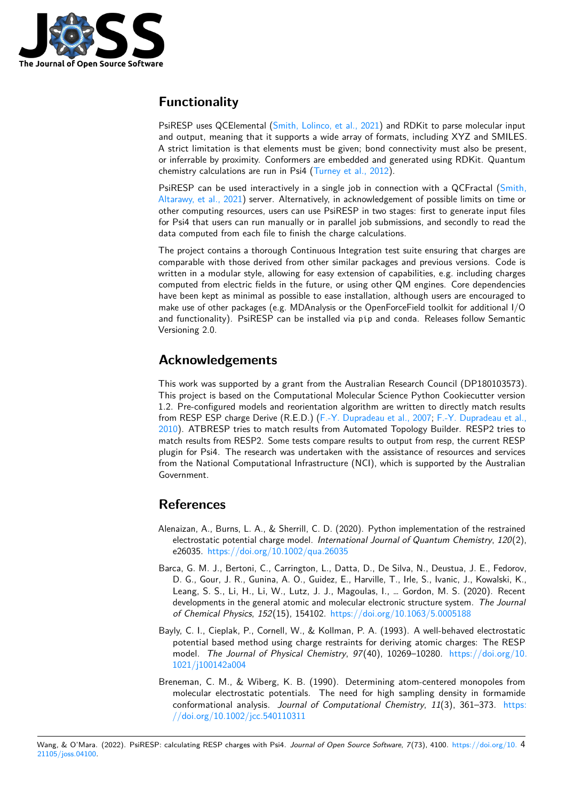

# **Functionality**

PsiRESP uses QCElemental [\(Smith, Lolinco, et al., 2021\)](#page-5-4) and RDKit to parse molecular input and output, meaning that it supports a wide array of formats, including XYZ and SMILES. A strict limitation is that elements must be given; bond connectivity must also be present, or inferrable by proximity. Conformers are embedded and generated using RDKit. Quantum chemistry calculations are run in Psi4 [\(Turney et al., 2012\)](#page-5-5).

PsiRESP can be used interactively in a single job in connection with a QCFractal [\(Smith,](#page-5-6) [Altarawy, et al., 2021\)](#page-5-6) server. Alternatively, in acknowledgement of possible limits on time or other computing resources, users can use PsiRESP in two stages: first to generate input files for Psi4 that users can run manually or in parallel job submissions, and secondly to read the data computed from each file to finish the charge calculations.

The project contains a thorough Continuous Integration test suite ensuring that charges are comparable with those derived from other similar packages and previous versions. Code is written in a modular style, allowing for easy extension of capabilities, e.g. including charges computed from electric fields in the future, or using other QM engines. Core dependencies have been kept as minimal as possible to ease installation, although users are encouraged to make use of other packages (e.g. MDAnalysis or the OpenForceField toolkit for additional I/O and functionality). PsiRESP can be installed via pip and conda. Releases follow Semantic Versioning 2.0.

# **Acknowledgements**

This work was supported by a grant from the Australian Research Council (DP180103573). This project is based on the Computational Molecular Science Python Cookiecutter version 1.2. Pre-configured models and reorientation algorithm are written to directly match results from RESP ESP charge Derive (R.E.D.) [\(F.-Y. Dupradeau et al., 2007;](#page-4-6) [F.-Y. Dupradeau et al.,](#page-4-7) [2010\)](#page-4-7). ATBRESP tries to match results from Automated Topology Builder. RESP2 tries to match results from RESP2. Some tests compare results to output from resp, the current RESP plugin for Psi4. The research was undertaken with the assistance of resources and services from the National Computational Infrastructure (NCI), which is supported by the Australian Government.

# **References**

- <span id="page-3-3"></span>Alenaizan, A., Burns, L. A., & Sherrill, C. D. (2020). Python implementation of the restrained electrostatic potential charge model. International Journal of Quantum Chemistry, 120(2), e26035. <https://doi.org/10.1002/qua.26035>
- <span id="page-3-1"></span>Barca, G. M. J., Bertoni, C., Carrington, L., Datta, D., De Silva, N., Deustua, J. E., Fedorov, D. G., Gour, J. R., Gunina, A. O., Guidez, E., Harville, T., Irle, S., Ivanic, J., Kowalski, K., Leang, S. S., Li, H., Li, W., Lutz, J. J., Magoulas, I., … Gordon, M. S. (2020). Recent developments in the general atomic and molecular electronic structure system. The Journal of Chemical Physics, 152(15), 154102. <https://doi.org/10.1063/5.0005188>
- <span id="page-3-0"></span>Bayly, C. I., Cieplak, P., Cornell, W., & Kollman, P. A. (1993). A well-behaved electrostatic potential based method using charge restraints for deriving atomic charges: The RESP model. The Journal of Physical Chemistry, 97(40), 10269–10280. [https://doi.org/10.](https://doi.org/10.1021/j100142a004) [1021/j100142a004](https://doi.org/10.1021/j100142a004)
- <span id="page-3-2"></span>Breneman, C. M., & Wiberg, K. B. (1990). Determining atom-centered monopoles from molecular electrostatic potentials. The need for high sampling density in formamide conformational analysis. Journal of Computational Chemistry, 11(3), 361–373. [https:](https://doi.org/10.1002/jcc.540110311) [//doi.org/10.1002/jcc.540110311](https://doi.org/10.1002/jcc.540110311)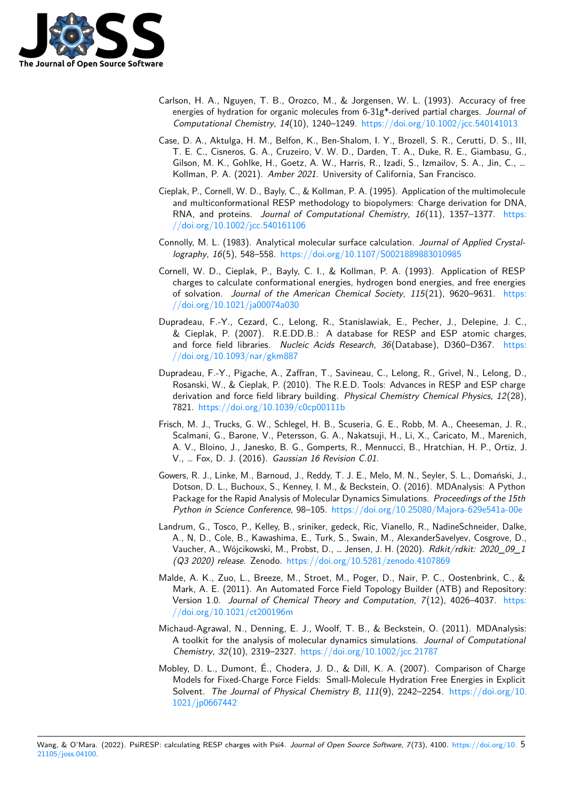

- <span id="page-4-3"></span>Carlson, H. A., Nguyen, T. B., Orozco, M., & Jorgensen, W. L. (1993). Accuracy of free energies of hydration for organic molecules from 6-31g\*-derived partial charges. Journal of Computational Chemistry, 14(10), 1240–1249. <https://doi.org/10.1002/jcc.540141013>
- <span id="page-4-5"></span>Case, D. A., Aktulga, H. M., Belfon, K., Ben-Shalom, I. Y., Brozell, S. R., Cerutti, D. S., III, T. E. C., Cisneros, G. A., Cruzeiro, V. W. D., Darden, T. A., Duke, R. E., Giambasu, G., Gilson, M. K., Gohlke, H., Goetz, A. W., Harris, R., Izadi, S., Izmailov, S. A., Jin, C., … Kollman, P. A. (2021). Amber 2021. University of California, San Francisco.
- <span id="page-4-1"></span>Cieplak, P., Cornell, W. D., Bayly, C., & Kollman, P. A. (1995). Application of the multimolecule and multiconformational RESP methodology to biopolymers: Charge derivation for DNA, RNA, and proteins. Journal of Computational Chemistry, 16(11), 1357-1377. [https:](https://doi.org/10.1002/jcc.540161106) [//doi.org/10.1002/jcc.540161106](https://doi.org/10.1002/jcc.540161106)
- <span id="page-4-9"></span>Connolly, M. L. (1983). Analytical molecular surface calculation. Journal of Applied Crystallography, 16(5), 548–558. <https://doi.org/10.1107/S0021889883010985>
- <span id="page-4-2"></span>Cornell, W. D., Cieplak, P., Bayly, C. I., & Kollman, P. A. (1993). Application of RESP charges to calculate conformational energies, hydrogen bond energies, and free energies of solvation. Journal of the American Chemical Society, 115(21), 9620–9631. [https:](https://doi.org/10.1021/ja00074a030) [//doi.org/10.1021/ja00074a030](https://doi.org/10.1021/ja00074a030)
- <span id="page-4-6"></span>Dupradeau, F.-Y., Cezard, C., Lelong, R., Stanislawiak, E., Pecher, J., Delepine, J. C., & Cieplak, P. (2007). R.E.DD.B.: A database for RESP and ESP atomic charges, and force field libraries. Nucleic Acids Research, 36(Database), D360-D367. [https:](https://doi.org/10.1093/nar/gkm887) [//doi.org/10.1093/nar/gkm887](https://doi.org/10.1093/nar/gkm887)
- <span id="page-4-7"></span>Dupradeau, F.-Y., Pigache, A., Zaffran, T., Savineau, C., Lelong, R., Grivel, N., Lelong, D., Rosanski, W., & Cieplak, P. (2010). The R.E.D. Tools: Advances in RESP and ESP charge derivation and force field library building. Physical Chemistry Chemical Physics, 12(28), 7821. <https://doi.org/10.1039/c0cp00111b>
- <span id="page-4-8"></span>Frisch, M. J., Trucks, G. W., Schlegel, H. B., Scuseria, G. E., Robb, M. A., Cheeseman, J. R., Scalmani, G., Barone, V., Petersson, G. A., Nakatsuji, H., Li, X., Caricato, M., Marenich, A. V., Bloino, J., Janesko, B. G., Gomperts, R., Mennucci, B., Hratchian, H. P., Ortiz, J. V., … Fox, D. J. (2016). Gaussian 16 Revision C.01.
- <span id="page-4-10"></span>Gowers, R. J., Linke, M., Barnoud, J., Reddy, T. J. E., Melo, M. N., Seyler, S. L., Domański, J., Dotson, D. L., Buchoux, S., Kenney, I. M., & Beckstein, O. (2016). MDAnalysis: A Python Package for the Rapid Analysis of Molecular Dynamics Simulations. Proceedings of the 15th Python in Science Conference, 98–105. <https://doi.org/10.25080/Majora-629e541a-00e>
- <span id="page-4-12"></span>Landrum, G., Tosco, P., Kelley, B., sriniker, gedeck, Ric, Vianello, R., NadineSchneider, Dalke, A., N, D., Cole, B., Kawashima, E., Turk, S., Swain, M., AlexanderSavelyev, Cosgrove, D., Vaucher, A., Wójcikowski, M., Probst, D., … Jensen, J. H. (2020). Rdkit/rdkit: 2020\_09\_1 (Q3 2020) release. Zenodo. <https://doi.org/10.5281/zenodo.4107869>
- <span id="page-4-0"></span>Malde, A. K., Zuo, L., Breeze, M., Stroet, M., Poger, D., Nair, P. C., Oostenbrink, C., & Mark, A. E. (2011). An Automated Force Field Topology Builder (ATB) and Repository: Version 1.0. Journal of Chemical Theory and Computation, 7(12), 4026–4037. [https:](https://doi.org/10.1021/ct200196m) [//doi.org/10.1021/ct200196m](https://doi.org/10.1021/ct200196m)
- <span id="page-4-11"></span>Michaud-Agrawal, N., Denning, E. J., Woolf, T. B., & Beckstein, O. (2011). MDAnalysis: A toolkit for the analysis of molecular dynamics simulations. Journal of Computational Chemistry, 32(10), 2319–2327. <https://doi.org/10.1002/jcc.21787>
- <span id="page-4-4"></span>Mobley, D. L., Dumont, É., Chodera, J. D., & Dill, K. A. (2007). Comparison of Charge Models for Fixed-Charge Force Fields: Small-Molecule Hydration Free Energies in Explicit Solvent. The Journal of Physical Chemistry B, 111(9), 2242-2254. [https://doi.org/10.](https://doi.org/10.1021/jp0667442) [1021/jp0667442](https://doi.org/10.1021/jp0667442)

Wang, & O'Mara. (2022). PsiRESP: calculating RESP charges with Psi4. Journal of Open Source Software, 7(73), 4100. [https://doi.org/10.](https://doi.org/10.21105/joss.04100) 5 [21105/joss.04100.](https://doi.org/10.21105/joss.04100)